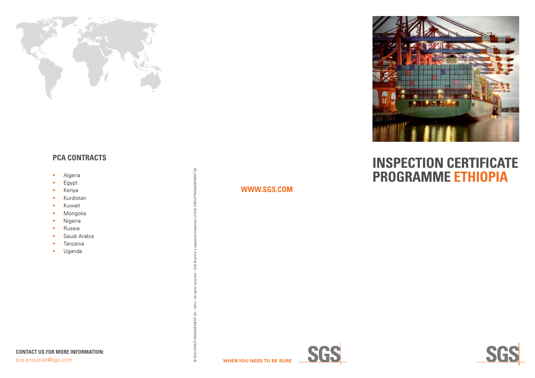

## **PCA CONTRACTS**

- Algeria
- Egypt
- Kenya
- Kurdistan
- Kuwait
- Mongolia
- Nigeria
- Russia
- Saudi Arabia
- Tanzania
- Uganda

### **WWW.SGS.COM**

© SGS GROUP MANAGEMENT SA – 2013 – All rights reserved – SGS Brand is a registered trademark of SGS GROUP MANAGEMENT SA

GROL

© SGS O

MANAGEMENT SA

če.





# **INSPECTION CERTIFICATE PROGRAMme ETHIOPIA**